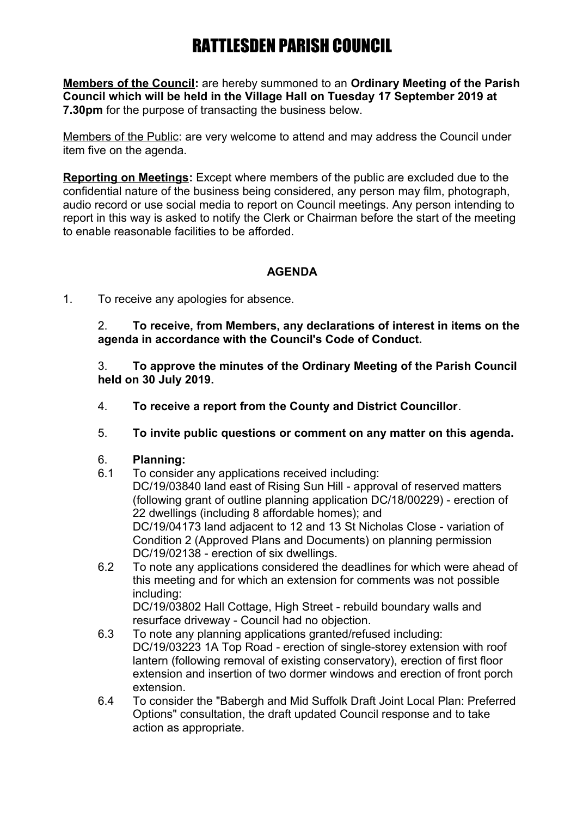**Members of the Council:** are hereby summoned to an **Ordinary Meeting of the Parish Council which will be held in the Village Hall on Tuesday 17 September 2019 at 7.30pm** for the purpose of transacting the business below.

Members of the Public: are very welcome to attend and may address the Council under item five on the agenda.

**Reporting on Meetings:** Except where members of the public are excluded due to the confidential nature of the business being considered, any person may film, photograph, audio record or use social media to report on Council meetings. Any person intending to report in this way is asked to notify the Clerk or Chairman before the start of the meeting to enable reasonable facilities to be afforded.

## **AGENDA**

1. To receive any apologies for absence.

2. **To receive, from Members, any declarations of interest in items on the agenda in accordance with the Council's Code of Conduct.**

3. **To approve the minutes of the Ordinary Meeting of the Parish Council held on 30 July 2019.**

- 4. **To receive a report from the County and District Councillor**.
- 5. **To invite public questions or comment on any matter on this agenda.**

### 6. **Planning:**

- 6.1 To consider any applications received including: DC/19/03840 land east of Rising Sun Hill - approval of reserved matters (following grant of outline planning application DC/18/00229) - erection of 22 dwellings (including 8 affordable homes); and DC/19/04173 land adjacent to 12 and 13 St Nicholas Close - variation of Condition 2 (Approved Plans and Documents) on planning permission DC/19/02138 - erection of six dwellings.
- 6.2 To note any applications considered the deadlines for which were ahead of this meeting and for which an extension for comments was not possible including:

DC/19/03802 Hall Cottage, High Street - rebuild boundary walls and resurface driveway - Council had no objection.

- 6.3 To note any planning applications granted/refused including: DC/19/03223 1A Top Road - erection of single-storey extension with roof lantern (following removal of existing conservatory), erection of first floor extension and insertion of two dormer windows and erection of front porch extension.
- 6.4 To consider the "Babergh and Mid Suffolk Draft Joint Local Plan: Preferred Options" consultation, the draft updated Council response and to take action as appropriate.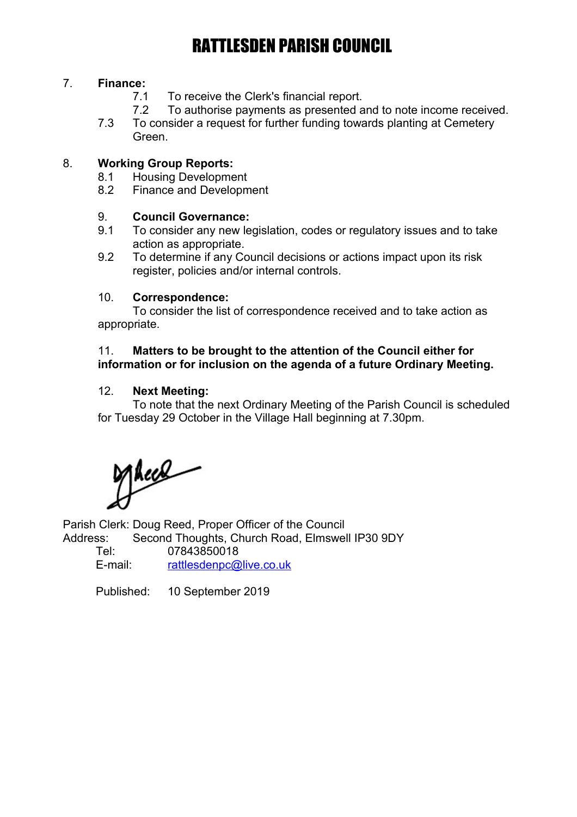## 7. **Finance:**

- 7.1 To receive the Clerk's financial report.
- 7.2 To authorise payments as presented and to note income received.
- 7.3 To consider a request for further funding towards planting at Cemetery Green.

### 8. **Working Group Reports:**

- 8.1 Housing Development
- 8.2 Finance and Development

### 9. **Council Governance:**

- 9.1 To consider any new legislation, codes or regulatory issues and to take action as appropriate.
- 9.2 To determine if any Council decisions or actions impact upon its risk register, policies and/or internal controls.

### 10. **Correspondence:**

To consider the list of correspondence received and to take action as appropriate.

### 11. **Matters to be brought to the attention of the Council either for information or for inclusion on the agenda of a future Ordinary Meeting.**

### 12. **Next Meeting:**

To note that the next Ordinary Meeting of the Parish Council is scheduled for Tuesday 29 October in the Village Hall beginning at 7.30pm.

Macel

Parish Clerk: Doug Reed, Proper Officer of the Council Address: Second Thoughts, Church Road, Elmswell IP30 9DY<br>Tel: 07843850018

07843850018 E-mail: [rattlesdenpc@live.co.uk](mailto:rattlesdenpc@live.co.uk)

Published: 10 September 2019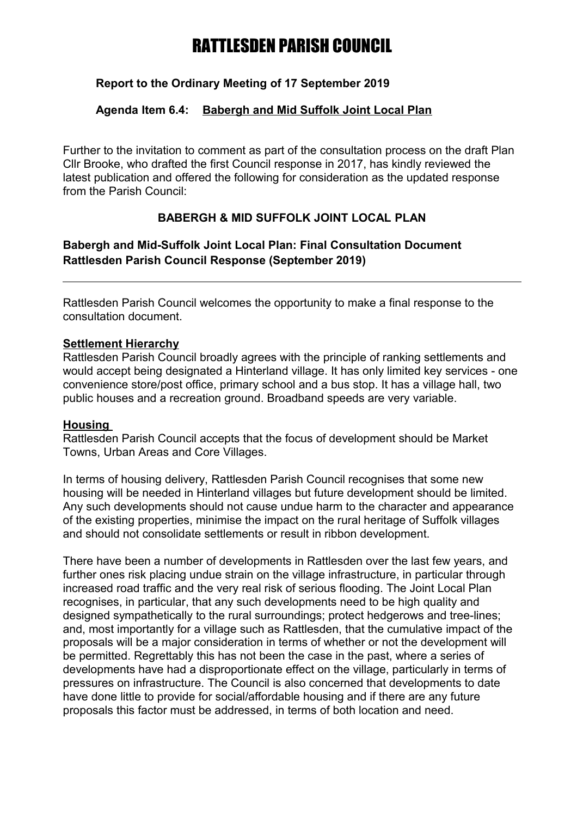## **Report to the Ordinary Meeting of 17 September 2019**

## **Agenda Item 6.4: Babergh and Mid Suffolk Joint Local Plan**

Further to the invitation to comment as part of the consultation process on the draft Plan Cllr Brooke, who drafted the first Council response in 2017, has kindly reviewed the latest publication and offered the following for consideration as the updated response from the Parish Council:

## **BABERGH & MID SUFFOLK JOINT LOCAL PLAN**

## **Babergh and Mid-Suffolk Joint Local Plan: Final Consultation Document Rattlesden Parish Council Response (September 2019)**

Rattlesden Parish Council welcomes the opportunity to make a final response to the consultation document.

### **Settlement Hierarchy**

Rattlesden Parish Council broadly agrees with the principle of ranking settlements and would accept being designated a Hinterland village. It has only limited key services - one convenience store/post office, primary school and a bus stop. It has a village hall, two public houses and a recreation ground. Broadband speeds are very variable.

## **Housing**

Rattlesden Parish Council accepts that the focus of development should be Market Towns, Urban Areas and Core Villages.

In terms of housing delivery, Rattlesden Parish Council recognises that some new housing will be needed in Hinterland villages but future development should be limited. Any such developments should not cause undue harm to the character and appearance of the existing properties, minimise the impact on the rural heritage of Suffolk villages and should not consolidate settlements or result in ribbon development.

There have been a number of developments in Rattlesden over the last few years, and further ones risk placing undue strain on the village infrastructure, in particular through increased road traffic and the very real risk of serious flooding. The Joint Local Plan recognises, in particular, that any such developments need to be high quality and designed sympathetically to the rural surroundings; protect hedgerows and tree-lines; and, most importantly for a village such as Rattlesden, that the cumulative impact of the proposals will be a major consideration in terms of whether or not the development will be permitted. Regrettably this has not been the case in the past, where a series of developments have had a disproportionate effect on the village, particularly in terms of pressures on infrastructure. The Council is also concerned that developments to date have done little to provide for social/affordable housing and if there are any future proposals this factor must be addressed, in terms of both location and need.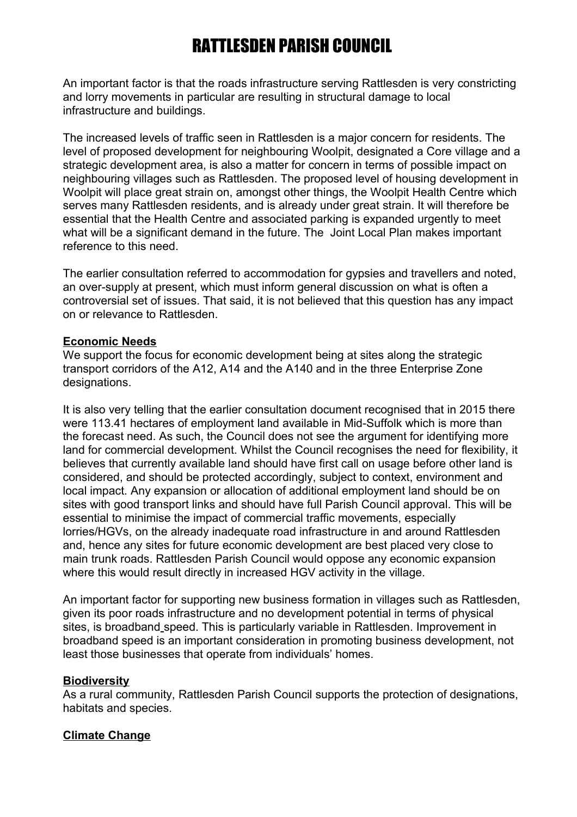An important factor is that the roads infrastructure serving Rattlesden is very constricting and lorry movements in particular are resulting in structural damage to local infrastructure and buildings.

The increased levels of traffic seen in Rattlesden is a major concern for residents. The level of proposed development for neighbouring Woolpit, designated a Core village and a strategic development area, is also a matter for concern in terms of possible impact on neighbouring villages such as Rattlesden. The proposed level of housing development in Woolpit will place great strain on, amongst other things, the Woolpit Health Centre which serves many Rattlesden residents, and is already under great strain. It will therefore be essential that the Health Centre and associated parking is expanded urgently to meet what will be a significant demand in the future. The Joint Local Plan makes important reference to this need.

The earlier consultation referred to accommodation for gypsies and travellers and noted, an over-supply at present, which must inform general discussion on what is often a controversial set of issues. That said, it is not believed that this question has any impact on or relevance to Rattlesden.

#### **Economic Needs**

We support the focus for economic development being at sites along the strategic transport corridors of the A12, A14 and the A140 and in the three Enterprise Zone designations.

It is also very telling that the earlier consultation document recognised that in 2015 there were 113.41 hectares of employment land available in Mid-Suffolk which is more than the forecast need. As such, the Council does not see the argument for identifying more land for commercial development. Whilst the Council recognises the need for flexibility, it believes that currently available land should have first call on usage before other land is considered, and should be protected accordingly, subject to context, environment and local impact. Any expansion or allocation of additional employment land should be on sites with good transport links and should have full Parish Council approval. This will be essential to minimise the impact of commercial traffic movements, especially lorries/HGVs, on the already inadequate road infrastructure in and around Rattlesden and, hence any sites for future economic development are best placed very close to main trunk roads. Rattlesden Parish Council would oppose any economic expansion where this would result directly in increased HGV activity in the village.

An important factor for supporting new business formation in villages such as Rattlesden, given its poor roads infrastructure and no development potential in terms of physical sites, is broadband speed. This is particularly variable in Rattlesden. Improvement in broadband speed is an important consideration in promoting business development, not least those businesses that operate from individuals' homes.

#### **Biodiversity**

As a rural community, Rattlesden Parish Council supports the protection of designations, habitats and species.

### **Climate Change**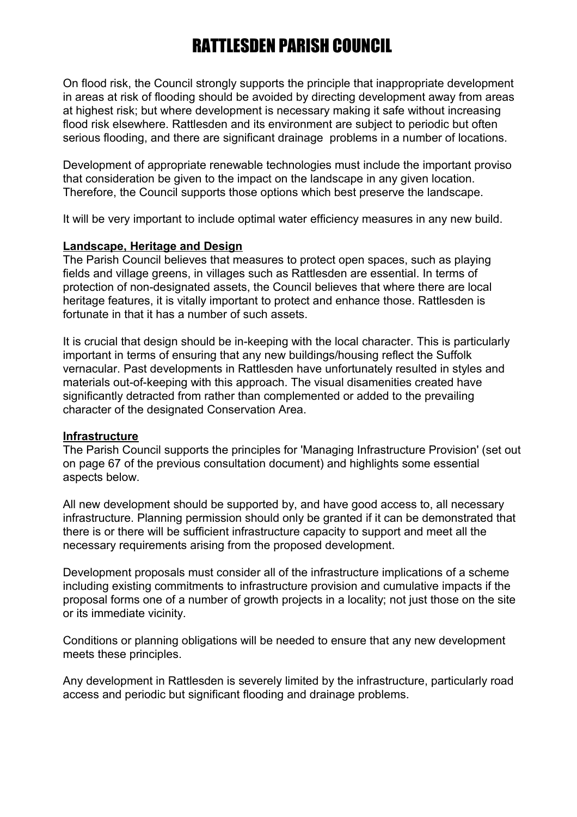On flood risk, the Council strongly supports the principle that inappropriate development in areas at risk of flooding should be avoided by directing development away from areas at highest risk; but where development is necessary making it safe without increasing flood risk elsewhere. Rattlesden and its environment are subject to periodic but often serious flooding, and there are significant drainage problems in a number of locations.

Development of appropriate renewable technologies must include the important proviso that consideration be given to the impact on the landscape in any given location. Therefore, the Council supports those options which best preserve the landscape.

It will be very important to include optimal water efficiency measures in any new build.

#### **Landscape, Heritage and Design**

The Parish Council believes that measures to protect open spaces, such as playing fields and village greens, in villages such as Rattlesden are essential. In terms of protection of non-designated assets, the Council believes that where there are local heritage features, it is vitally important to protect and enhance those. Rattlesden is fortunate in that it has a number of such assets.

It is crucial that design should be in-keeping with the local character. This is particularly important in terms of ensuring that any new buildings/housing reflect the Suffolk vernacular. Past developments in Rattlesden have unfortunately resulted in styles and materials out-of-keeping with this approach. The visual disamenities created have significantly detracted from rather than complemented or added to the prevailing character of the designated Conservation Area.

#### **Infrastructure**

The Parish Council supports the principles for 'Managing Infrastructure Provision' (set out on page 67 of the previous consultation document) and highlights some essential aspects below.

All new development should be supported by, and have good access to, all necessary infrastructure. Planning permission should only be granted if it can be demonstrated that there is or there will be sufficient infrastructure capacity to support and meet all the necessary requirements arising from the proposed development.

Development proposals must consider all of the infrastructure implications of a scheme including existing commitments to infrastructure provision and cumulative impacts if the proposal forms one of a number of growth projects in a locality; not just those on the site or its immediate vicinity.

Conditions or planning obligations will be needed to ensure that any new development meets these principles.

Any development in Rattlesden is severely limited by the infrastructure, particularly road access and periodic but significant flooding and drainage problems.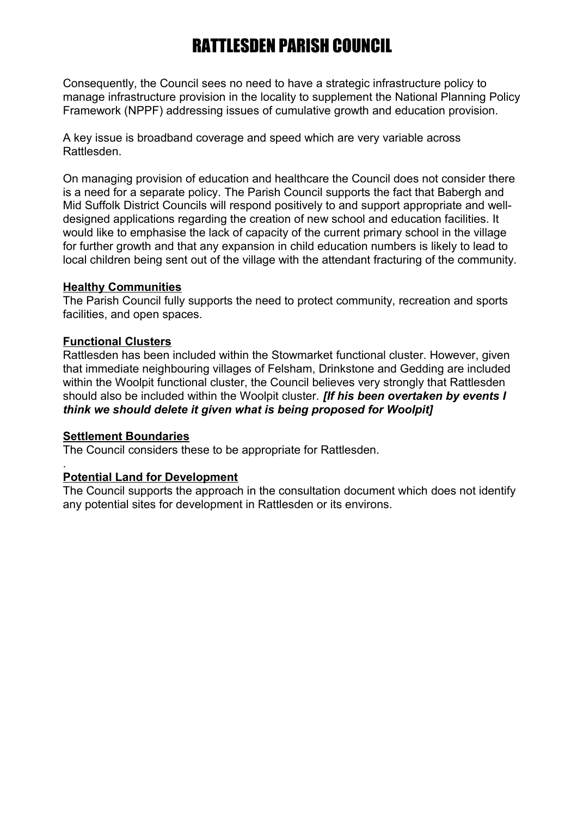Consequently, the Council sees no need to have a strategic infrastructure policy to manage infrastructure provision in the locality to supplement the National Planning Policy Framework (NPPF) addressing issues of cumulative growth and education provision.

A key issue is broadband coverage and speed which are very variable across Rattlesden.

On managing provision of education and healthcare the Council does not consider there is a need for a separate policy. The Parish Council supports the fact that Babergh and Mid Suffolk District Councils will respond positively to and support appropriate and welldesigned applications regarding the creation of new school and education facilities. It would like to emphasise the lack of capacity of the current primary school in the village for further growth and that any expansion in child education numbers is likely to lead to local children being sent out of the village with the attendant fracturing of the community.

#### **Healthy Communities**

The Parish Council fully supports the need to protect community, recreation and sports facilities, and open spaces.

#### **Functional Clusters**

Rattlesden has been included within the Stowmarket functional cluster. However, given that immediate neighbouring villages of Felsham, Drinkstone and Gedding are included within the Woolpit functional cluster, the Council believes very strongly that Rattlesden should also be included within the Woolpit cluster. *[If his been overtaken by events I think we should delete it given what is being proposed for Woolpit]*

### **Settlement Boundaries**

.

The Council considers these to be appropriate for Rattlesden.

### **Potential Land for Development**

The Council supports the approach in the consultation document which does not identify any potential sites for development in Rattlesden or its environs.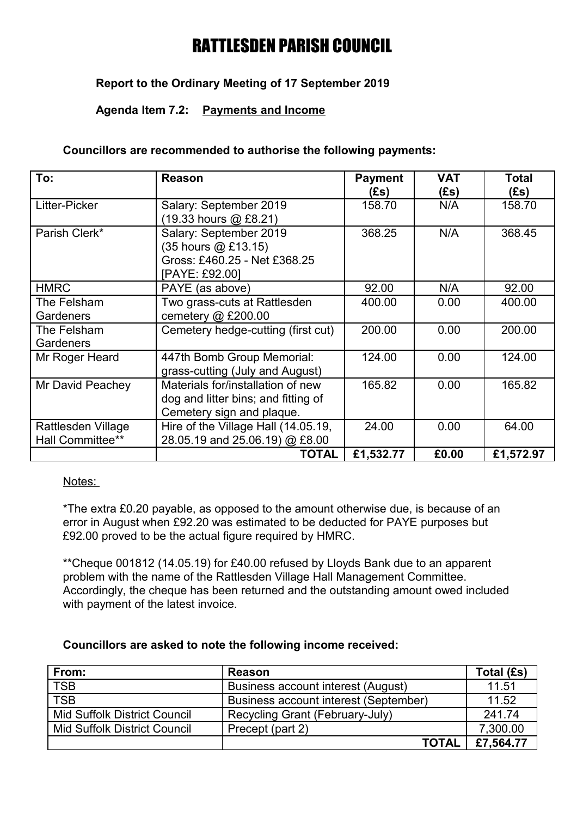## **Report to the Ordinary Meeting of 17 September 2019**

### **Agenda Item 7.2: Payments and Income**

#### **Councillors are recommended to authorise the following payments:**

| To:                                    | <b>Reason</b>                                                                                         | <b>Payment</b><br>(Es) | <b>VAT</b><br>(Es) | <b>Total</b><br>(Es) |
|----------------------------------------|-------------------------------------------------------------------------------------------------------|------------------------|--------------------|----------------------|
| Litter-Picker                          | Salary: September 2019<br>(19.33 hours @ £8.21)                                                       | 158.70                 | N/A                | 158.70               |
| Parish Clerk*                          | Salary: September 2019<br>(35 hours @ £13.15)<br>Gross: £460.25 - Net £368.25<br>[PAYE: £92.00]       | 368.25                 | N/A                | 368.45               |
| <b>HMRC</b>                            | PAYE (as above)                                                                                       | 92.00                  | N/A                | 92.00                |
| The Felsham<br>Gardeners               | Two grass-cuts at Rattlesden<br>cemetery $@$ £200.00                                                  | 400.00                 | 0.00               | 400.00               |
| The Felsham<br>Gardeners               | Cemetery hedge-cutting (first cut)                                                                    | 200.00                 | 0.00               | 200.00               |
| Mr Roger Heard                         | 447th Bomb Group Memorial:<br>grass-cutting (July and August)                                         | 124.00                 | 0.00               | 124.00               |
| Mr David Peachey                       | Materials for/installation of new<br>dog and litter bins; and fitting of<br>Cemetery sign and plaque. | 165.82                 | 0.00               | 165.82               |
| Rattlesden Village<br>Hall Committee** | Hire of the Village Hall (14.05.19,<br>28.05.19 and 25.06.19) @ £8.00                                 | 24.00                  | 0.00               | 64.00                |
|                                        | <b>TOTAL</b>                                                                                          | £1,532.77              | £0.00              | £1,572.97            |

#### Notes:

\*The extra £0.20 payable, as opposed to the amount otherwise due, is because of an error in August when £92.20 was estimated to be deducted for PAYE purposes but £92.00 proved to be the actual figure required by HMRC.

\*\*Cheque 001812 (14.05.19) for £40.00 refused by Lloyds Bank due to an apparent problem with the name of the Rattlesden Village Hall Management Committee. Accordingly, the cheque has been returned and the outstanding amount owed included with payment of the latest invoice.

### **Councillors are asked to note the following income received:**

| From:                               | <b>Reason</b>                         | Total (£s) |
|-------------------------------------|---------------------------------------|------------|
| <b>TSB</b>                          | Business account interest (August)    | 11.51      |
| <b>TSB</b>                          | Business account interest (September) | 11.52      |
| <b>Mid Suffolk District Council</b> | Recycling Grant (February-July)       | 241.74     |
| <b>Mid Suffolk District Council</b> | Precept (part 2)                      | 7,300.00   |
|                                     | <b>TOTAL</b>                          | £7,564.77  |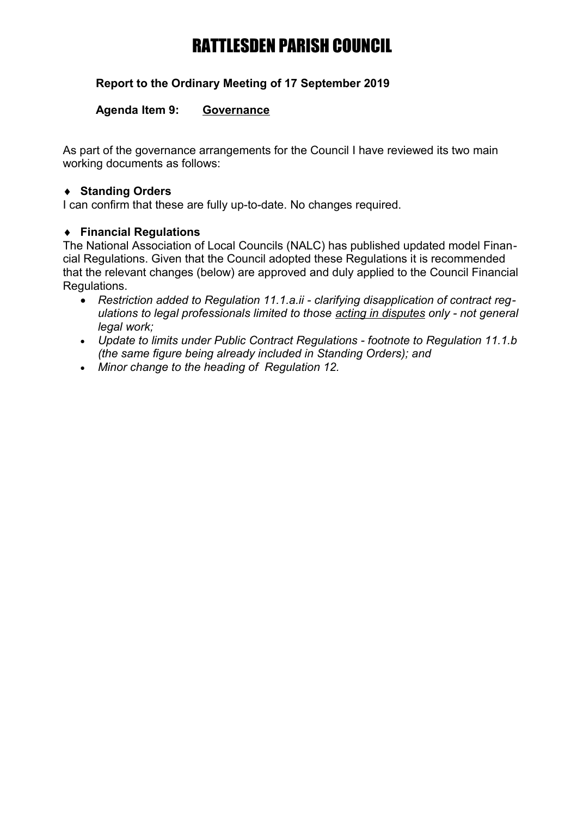## **Report to the Ordinary Meeting of 17 September 2019**

### **Agenda Item 9: Governance**

As part of the governance arrangements for the Council I have reviewed its two main working documents as follows:

### **Standing Orders**

I can confirm that these are fully up-to-date. No changes required.

### **Financial Regulations**

The National Association of Local Councils (NALC) has published updated model Financial Regulations. Given that the Council adopted these Regulations it is recommended that the relevant changes (below) are approved and duly applied to the Council Financial Regulations.

- *Restriction added to Regulation 11.1.a.ii clarifying disapplication of contract regulations to legal professionals limited to those acting in disputes only - not general legal work;*
- *Update to limits under Public Contract Regulations footnote to Regulation 11.1.b (the same figure being already included in Standing Orders); and*
- *Minor change to the heading of Regulation 12.*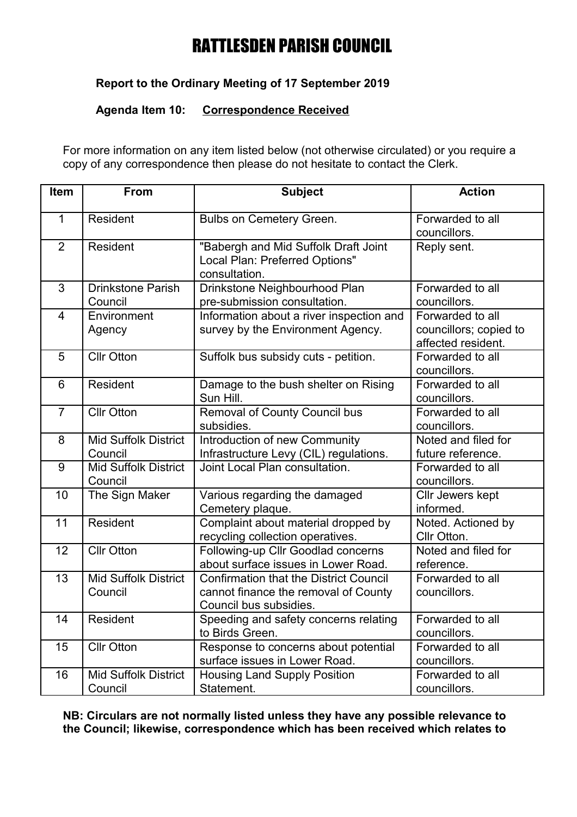## **Report to the Ordinary Meeting of 17 September 2019**

### **Agenda Item 10: Correspondence Received**

For more information on any item listed below (not otherwise circulated) or you require a copy of any correspondence then please do not hesitate to contact the Clerk.

| Item            | From                                   | <b>Subject</b>                                                                                                  | <b>Action</b>                                                    |  |
|-----------------|----------------------------------------|-----------------------------------------------------------------------------------------------------------------|------------------------------------------------------------------|--|
| $\mathbf{1}$    | Resident                               | <b>Bulbs on Cemetery Green.</b>                                                                                 | Forwarded to all<br>councillors.                                 |  |
| $\overline{2}$  | <b>Resident</b>                        | "Babergh and Mid Suffolk Draft Joint<br>Local Plan: Preferred Options"<br>consultation.                         | Reply sent.                                                      |  |
| 3               | <b>Drinkstone Parish</b><br>Council    | Drinkstone Neighbourhood Plan<br>pre-submission consultation.                                                   | Forwarded to all<br>councillors.                                 |  |
| $\overline{4}$  | Environment<br>Agency                  | Information about a river inspection and<br>survey by the Environment Agency.                                   | Forwarded to all<br>councillors; copied to<br>affected resident. |  |
| 5               | <b>Cllr Otton</b>                      | Suffolk bus subsidy cuts - petition.                                                                            | Forwarded to all<br>councillors.                                 |  |
| $6\phantom{1}6$ | Resident                               | Damage to the bush shelter on Rising<br>Sun Hill.                                                               | Forwarded to all<br>councillors.                                 |  |
| $\overline{7}$  | <b>Cllr Otton</b>                      | <b>Removal of County Council bus</b><br>subsidies.                                                              | Forwarded to all<br>councillors.                                 |  |
| 8               | <b>Mid Suffolk District</b><br>Council | Introduction of new Community<br>Infrastructure Levy (CIL) regulations.                                         | Noted and filed for<br>future reference.                         |  |
| 9               | <b>Mid Suffolk District</b><br>Council | Joint Local Plan consultation.                                                                                  | Forwarded to all<br>councillors.                                 |  |
| 10              | The Sign Maker                         | Various regarding the damaged<br>Cemetery plaque.                                                               | Cllr Jewers kept<br>informed.                                    |  |
| 11              | Resident                               | Complaint about material dropped by<br>recycling collection operatives.                                         | Noted. Actioned by<br>Cllr Otton.                                |  |
| 12              | <b>Cllr Otton</b>                      | Following-up Cllr Goodlad concerns<br>about surface issues in Lower Road.                                       | Noted and filed for<br>reference.                                |  |
| 13              | <b>Mid Suffolk District</b><br>Council | <b>Confirmation that the District Council</b><br>cannot finance the removal of County<br>Council bus subsidies. | Forwarded to all<br>councillors.                                 |  |
| 14              | Resident                               | Speeding and safety concerns relating<br>to Birds Green.                                                        | Forwarded to all<br>councillors.                                 |  |
| 15              | <b>Cllr Otton</b>                      | Response to concerns about potential<br>surface issues in Lower Road.                                           | Forwarded to all<br>councillors.                                 |  |
| 16              | <b>Mid Suffolk District</b><br>Council | <b>Housing Land Supply Position</b><br>Statement.                                                               | Forwarded to all<br>councillors.                                 |  |

**NB: Circulars are not normally listed unless they have any possible relevance to the Council; likewise, correspondence which has been received which relates to**